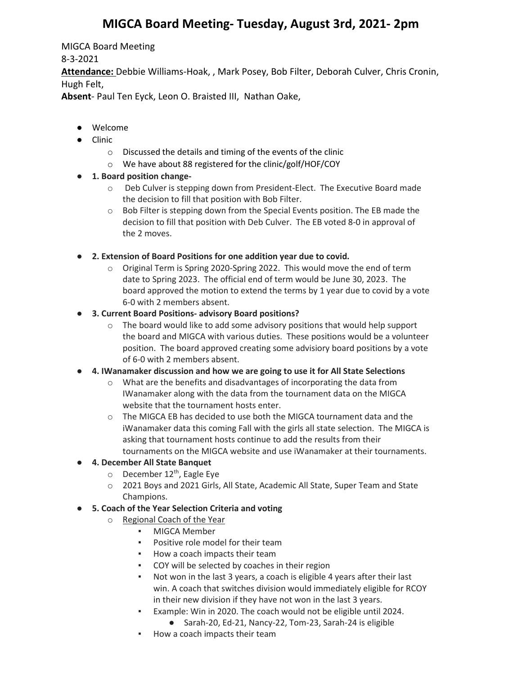## **MIGCA Board Meeting- Tuesday, August 3rd, 2021- 2pm**

MIGCA Board Meeting

8-3-2021

**Attendance:** Debbie Williams-Hoak, , Mark Posey, Bob Filter, Deborah Culver, Chris Cronin, Hugh Felt,

**Absent**- Paul Ten Eyck, Leon O. Braisted III, Nathan Oake,

- Welcome
- Clinic
	- o Discussed the details and timing of the events of the clinic
	- o We have about 88 registered for the clinic/golf/HOF/COY
- **1. Board position change**
	- o Deb Culver is stepping down from President-Elect. The Executive Board made the decision to fill that position with Bob Filter.
	- o Bob Filter is stepping down from the Special Events position. The EB made the decision to fill that position with Deb Culver. The EB voted 8-0 in approval of the 2 moves.
- **2. Extension of Board Positions for one addition year due to covid.**
	- $\circ$  Original Term is Spring 2020-Spring 2022. This would move the end of term date to Spring 2023. The official end of term would be June 30, 2023. The board approved the motion to extend the terms by 1 year due to covid by a vote 6-0 with 2 members absent.
- **3. Current Board Positions- advisory Board positions?**
	- o The board would like to add some advisory positions that would help support the board and MIGCA with various duties. These positions would be a volunteer position. The board approved creating some advisiory board positions by a vote of 6-0 with 2 members absent.
- **4. IWanamaker discussion and how we are going to use it for All State Selections**
	- o What are the benefits and disadvantages of incorporating the data from IWanamaker along with the data from the tournament data on the MIGCA website that the tournament hosts enter.
	- o The MIGCA EB has decided to use both the MIGCA tournament data and the iWanamaker data this coming Fall with the girls all state selection. The MIGCA is asking that tournament hosts continue to add the results from their tournaments on the MIGCA website and use iWanamaker at their tournaments.

## ● **4. December All State Banquet**

- $\circ$  December 12<sup>th</sup>, Eagle Eye
- o 2021 Boys and 2021 Girls, All State, Academic All State, Super Team and State Champions.
- **5. Coach of the Year Selection Criteria and voting**
	- o Regional Coach of the Year
		- **MIGCA Member**
		- Positive role model for their team
		- How a coach impacts their team
		- COY will be selected by coaches in their region
		- Not won in the last 3 years, a coach is eligible 4 years after their last win. A coach that switches division would immediately eligible for RCOY in their new division if they have not won in the last 3 years.
		- Example: Win in 2020. The coach would not be eligible until 2024.
			- Sarah-20, Ed-21, Nancy-22, Tom-23, Sarah-24 is eligible
		- How a coach impacts their team